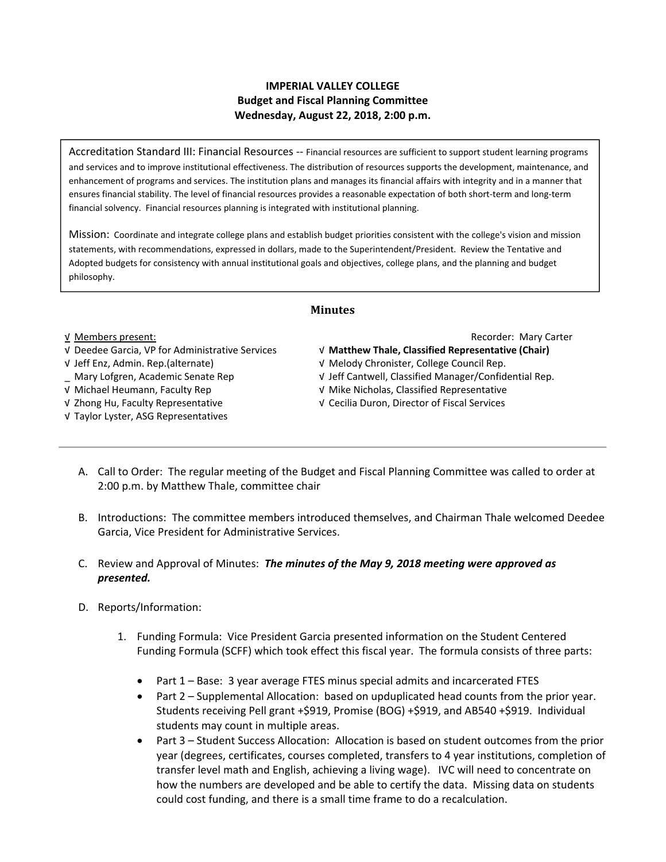## **IMPERIAL VALLEY COLLEGE Budget and Fiscal Planning Committee Wednesday, August 22, 2018, 2:00 p.m.**

Accreditation Standard III: Financial Resources ‐‐ Financial resources are sufficient to support student learning programs and services and to improve institutional effectiveness. The distribution of resources supports the development, maintenance, and enhancement of programs and services. The institution plans and manages its financial affairs with integrity and in a manner that ensures financial stability. The level of financial resources provides a reasonable expectation of both short‐term and long‐term financial solvency. Financial resources planning is integrated with institutional planning.

Mission: Coordinate and integrate college plans and establish budget priorities consistent with the college's vision and mission statements, with recommendations, expressed in dollars, made to the Superintendent/President. Review the Tentative and Adopted budgets for consistency with annual institutional goals and objectives, college plans, and the planning and budget philosophy.

# **Minutes**

## √ Deedee Garcia, VP for Administrative Services √ **Matthew Thale, Classified Representative (Chair)**

- 
- 
- 
- 
- √ Taylor Lyster, ASG Representatives

### √ Members present: Recorder: Mary Carter

- 
- √ Jeff Enz, Admin. Rep.(alternate) √ Melody Chronister, College Council Rep.
- \_ Mary Lofgren, Academic Senate Rep √ Jeff Cantwell, Classified Manager/Confidential Rep.
- √ Michael Heumann, Faculty Rep √ Mike Nicholas, Classified Representative
- √ Zhong Hu, Faculty Representative √ Cecilia Duron, Director of Fiscal Services
	- A. Call to Order: The regular meeting of the Budget and Fiscal Planning Committee was called to order at 2:00 p.m. by Matthew Thale, committee chair
	- B. Introductions: The committee members introduced themselves, and Chairman Thale welcomed Deedee Garcia, Vice President for Administrative Services.
	- C. Review and Approval of Minutes: *The minutes of the May 9, 2018 meeting were approved as presented.*
	- D. Reports/Information:
		- 1. Funding Formula: Vice President Garcia presented information on the Student Centered Funding Formula (SCFF) which took effect this fiscal year. The formula consists of three parts:
			- Part 1 Base: 3 year average FTES minus special admits and incarcerated FTES
			- Part 2 Supplemental Allocation: based on upduplicated head counts from the prior year. Students receiving Pell grant +\$919, Promise (BOG) +\$919, and AB540 +\$919. Individual students may count in multiple areas.
			- Part 3 Student Success Allocation: Allocation is based on student outcomes from the prior year (degrees, certificates, courses completed, transfers to 4 year institutions, completion of transfer level math and English, achieving a living wage). IVC will need to concentrate on how the numbers are developed and be able to certify the data. Missing data on students could cost funding, and there is a small time frame to do a recalculation.